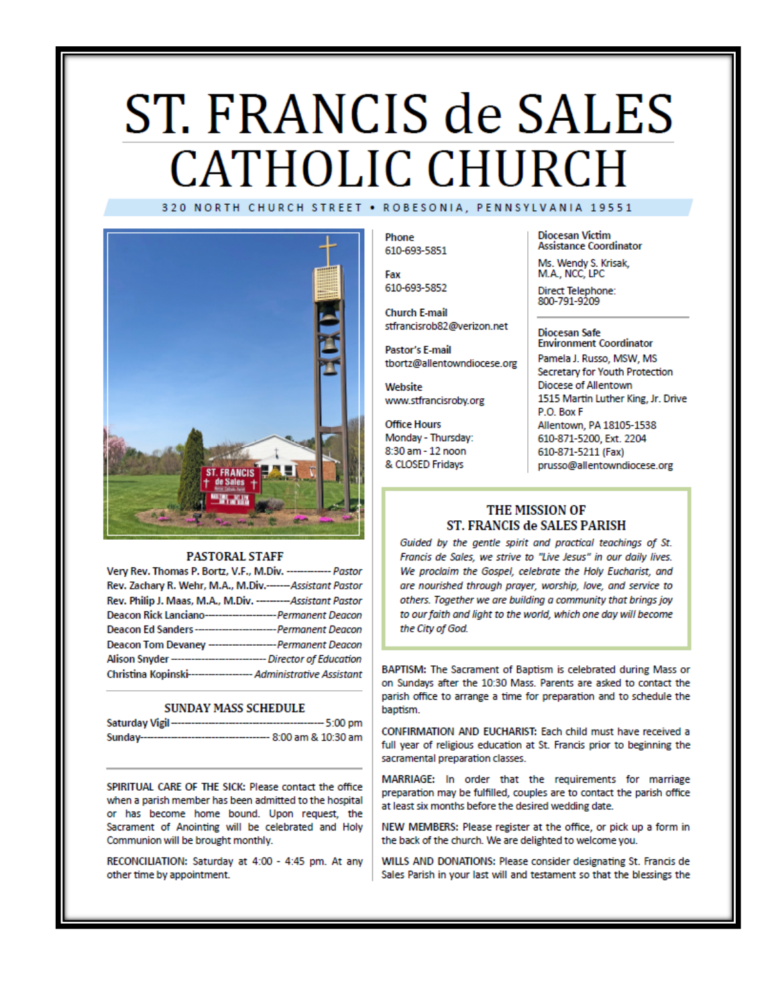# ST. FRANCIS de SALES **CATHOLIC CHURCH** 320 NORTH CHURCH STREET . ROBESONIA, PENNSYLVANIA 19551



#### **PASTORAL STAFF**

| Very Rev. Thomas P. Bortz, V.F., M.Div. ------------- Pastor        |  |
|---------------------------------------------------------------------|--|
| Rev. Zachary R. Wehr, M.A., M.Div.------Assistant Pastor            |  |
| Rev. Philip J. Maas, M.A., M.Div. --------- Assistant Pastor        |  |
| Deacon Rick Lanciano----------------------- Permanent Deacon        |  |
| Deacon Ed Sanders---------------------------- Permanent Deacon      |  |
| Deacon Tom Devaney --------------------- Permanent Deacon           |  |
| Alison Snyder ------------------------------- Director of Education |  |
| Christina Kopinski------------------- Administrative Assistant      |  |

#### **SUNDAY MASS SCHEDULE**

| Saturday Vigil-<br>------------------------ | ---- 5:00 pm           |
|---------------------------------------------|------------------------|
| Sunday--------------------------            | --- 8:00 am & 10:30 am |

SPIRITUAL CARE OF THE SICK: Please contact the office when a parish member has been admitted to the hospital or has become home bound. Upon request, the Sacrament of Anointing will be celebrated and Holy Communion will be brought monthly.

RECONCILIATION: Saturday at 4:00 - 4:45 pm. At any other time by appointment.

Phone 610-693-5851

Fax 610-693-5852

**Church E-mail** stfrancisrob82@verizon.net

Pastor's E-mail tbortz@allentowndiocese.org

Website www.stfrancisroby.org

**Office Hours** Monday - Thursday: 8:30 am - 12 noon & CLOSED Fridays

**Diocesan Victim Assistance Coordinator** 

Ms. Wendy S. Krisak, M.A., NCC, LPC

Direct Telephone:<br>800-791-9209

#### **Diocesan Safe Environment Coordinator**

Pamela J. Russo, MSW, MS Secretary for Youth Protection Diocese of Allentown 1515 Martin Luther King, Jr. Drive P.O. Box F Allentown, PA 18105-1538 610-871-5200, Ext. 2204 610-871-5211 (Fax) prusso@allentowndiocese.org

### THE MISSION OF ST. FRANCIS de SALES PARISH

Guided by the gentle spirit and practical teachings of St. Francis de Sales, we strive to "Live Jesus" in our daily lives. We proclaim the Gospel, celebrate the Holy Eucharist, and are nourished through prayer, worship, love, and service to others. Together we are building a community that brings joy to our faith and light to the world, which one day will become the City of God.

BAPTISM: The Sacrament of Baptism is celebrated during Mass or on Sundays after the 10:30 Mass. Parents are asked to contact the parish office to arrange a time for preparation and to schedule the baptism.

CONFIRMATION AND EUCHARIST: Each child must have received a full year of religious education at St. Francis prior to beginning the sacramental preparation classes.

MARRIAGE: In order that the requirements for marriage preparation may be fulfilled, couples are to contact the parish office at least six months before the desired wedding date.

NEW MEMBERS: Please register at the office, or pick up a form in the back of the church. We are delighted to welcome you.

WILLS AND DONATIONS: Please consider designating St. Francis de Sales Parish in your last will and testament so that the blessings the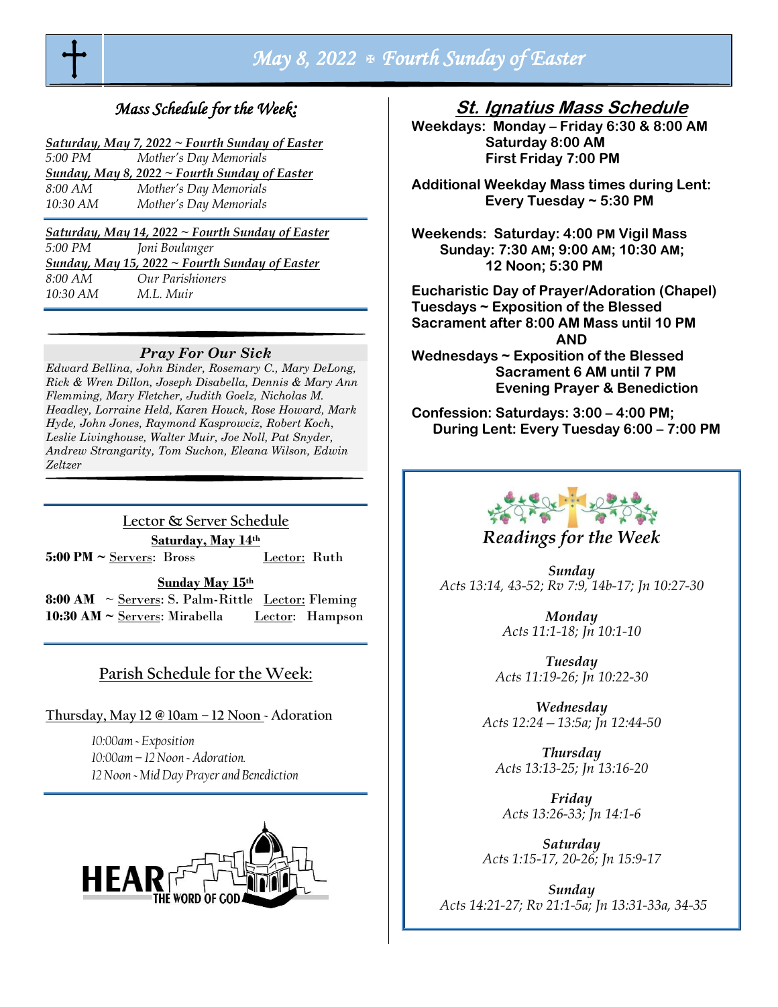

# *May 8, 2022 Fourth Sunday of Easter*

# *Mass Schedule for the Week:*

| Saturday, May 7, 2022 $\sim$ Fourth Sunday of Easter |
|------------------------------------------------------|
|------------------------------------------------------|

| 5:00 PM  | Mother's Day Memorials                               |
|----------|------------------------------------------------------|
|          | <b>Sunday, May 8, 2022 ~ Fourth Sunday of Easter</b> |
| 8:00 AM  | Mother's Day Memorials                               |
| 10:30 AM | Mother's Day Memorials                               |

*Saturday, May 14, 2022 ~ Fourth Sunday of Easter 5:00 PM Joni Boulanger Sunday, May 15, 2022 ~ Fourth Sunday of Easter 8:00 AM Our Parishioners 10:30 AM M.L. Muir*

#### *Pray For Our Sick*

*Edward Bellina, John Binder, Rosemary C., Mary DeLong, Rick & Wren Dillon, Joseph Disabella, Dennis & Mary Ann Flemming, Mary Fletcher, Judith Goelz, Nicholas M. Headley, Lorraine Held, Karen Houck, Rose Howard, Mark Hyde, John Jones, Raymond Kasprowciz, Robert Koch*, *Leslie Livinghouse, Walter Muir, Joe Noll, Pat Snyder, Andrew Strangarity, Tom Suchon, Eleana Wilson, Edwin Zeltzer*

**Lector & Server Schedule Saturday, May 14th**  5:00 PM ~ Servers: Bross Lector: Ruth

**Sunday May 15th**

**8:00 AM**  $\sim$  Servers: S. Palm-Rittle Lector: Fleming **10:30 AM ~** Servers: Mirabella Lector: Hampson

## **Parish Schedule for the Week:**

## **Thursday, May 12 @ 10am – 12 Noon ~ Adoration**

*10:00am ~ Exposition 10:00am – 12 Noon ~ Adoration. 12 Noon ~ Mid Day Prayer and Benediction* 



**St. Ignatius Mass Schedule**

**Weekdays: Monday – Friday 6:30 & 8:00 AM Saturday 8:00 AM First Friday 7:00 PM** 

**Additional Weekday Mass times during Lent: Every Tuesday ~ 5:30 PM** 

**Weekends: Saturday: 4:00 PM Vigil Mass Sunday: 7:30 AM; 9:00 AM; 10:30 AM; 12 Noon; 5:30 PM** 

**Eucharistic Day of Prayer/Adoration (Chapel) Tuesdays ~ Exposition of the Blessed Sacrament after 8:00 AM Mass until 10 PM AND Wednesdays ~ Exposition of the Blessed Sacrament 6 AM until 7 PM Evening Prayer & Benediction**

**Confession: Saturdays: 3:00 – 4:00 PM; During Lent: Every Tuesday 6:00 – 7:00 PM**



## *Readings for the Week*

*Sunday Acts 13:14, 43-52; Rv 7:9, 14b-17; Jn 10:27-30*

> *Monday Acts 11:1-18; Jn 10:1-10*

*Tuesday Acts 11:19-26; Jn 10:22-30*

*Wednesday Acts 12:24—13:5a; Jn 12:44-50*

*Thursday Acts 13:13-25; Jn 13:16-20*

*Friday Acts 13:26-33; Jn 14:1-6*

*Saturday Acts 1:15-17, 20-26; Jn 15:9-17*

*Sunday Acts 14:21-27; Rv 21:1-5a; Jn 13:31-33a, 34-35*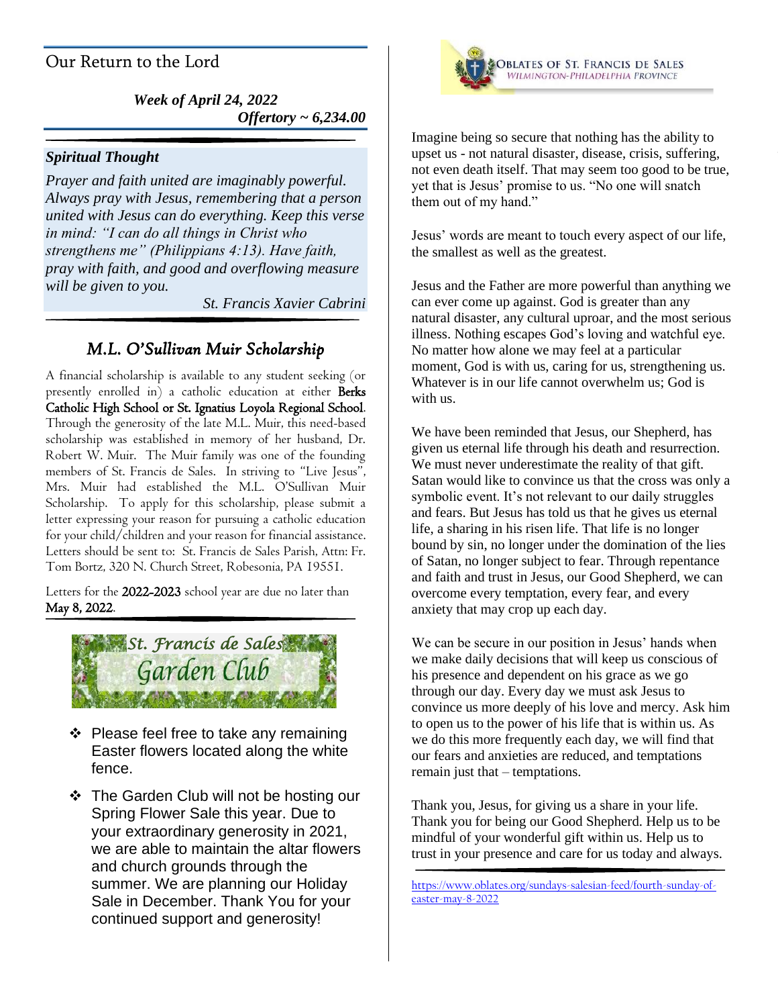# Our Return to the Lord

*Week of April 24, 2022 Offertory ~ 6,234.00*

## *Spiritual Thought*

*Prayer and faith united are imaginably powerful. Always pray with Jesus, remembering that a person united with Jesus can do everything. Keep this verse in mind: "I can do all things in Christ who strengthens me" (Philippians 4:13). Have faith, pray with faith, and good and overflowing measure will be given to you.*

*St. Francis Xavier Cabrini*

## *M.L. O'Sullivan Muir Scholarship*

A financial scholarship is available to any student seeking (or presently enrolled in) a catholic education at either Berks Catholic High School or St. Ignatius Loyola Regional School. Through the generosity of the late M.L. Muir, this need-based scholarship was established in memory of her husband, Dr. Robert W. Muir. The Muir family was one of the founding members of St. Francis de Sales. In striving to "Live Jesus", Mrs. Muir had established the M.L. O'Sullivan Muir Scholarship. To apply for this scholarship, please submit a letter expressing your reason for pursuing a catholic education for your child/children and your reason for financial assistance. Letters should be sent to: St. Francis de Sales Parish, Attn: Fr. Tom Bortz, 320 N. Church Street, Robesonia, PA 19551.

Letters for the 2022-2023 school year are due no later than May 8, 2022.



- ❖ Please feel free to take any remaining Easter flowers located along the white fence.
- ❖ The Garden Club will not be hosting our Spring Flower Sale this year. Due to your extraordinary generosity in 2021, we are able to maintain the altar flowers and church grounds through the summer. We are planning our Holiday Sale in December. Thank You for your continued support and generosity!



Imagine being so secure that nothing has the ability to upset us - not natural disaster, disease, crisis, suffering, not even death itself. That may seem too good to be true, yet that is Jesus' promise to us. "No one will snatch them out of my hand."

Jesus' words are meant to touch every aspect of our life, the smallest as well as the greatest.

Jesus and the Father are more powerful than anything we can ever come up against. God is greater than any natural disaster, any cultural uproar, and the most serious illness. Nothing escapes God's loving and watchful eye. No matter how alone we may feel at a particular moment, God is with us, caring for us, strengthening us. Whatever is in our life cannot overwhelm us; God is with us.

We have been reminded that Jesus, our Shepherd, has given us eternal life through his death and resurrection. We must never underestimate the reality of that gift. Satan would like to convince us that the cross was only a symbolic event. It's not relevant to our daily struggles and fears. But Jesus has told us that he gives us eternal life, a sharing in his risen life. That life is no longer bound by sin, no longer under the domination of the lies of Satan, no longer subject to fear. Through repentance and faith and trust in Jesus, our Good Shepherd, we can overcome every temptation, every fear, and every anxiety that may crop up each day.

We can be secure in our position in Jesus' hands when we make daily decisions that will keep us conscious of his presence and dependent on his grace as we go through our day. Every day we must ask Jesus to convince us more deeply of his love and mercy. Ask him to open us to the power of his life that is within us. As we do this more frequently each day, we will find that our fears and anxieties are reduced, and temptations remain just that – temptations.

Thank you, Jesus, for giving us a share in your life. Thank you for being our Good Shepherd. Help us to be mindful of your wonderful gift within us. Help us to trust in your presence and care for us today and always.

[https://www.oblates.org/sundays-salesian-feed/fourth-sunday-of](https://www.oblates.org/sundays-salesian-feed/fourth-sunday-of-easter-may-8-2022)[easter-may-8-2022](https://www.oblates.org/sundays-salesian-feed/fourth-sunday-of-easter-may-8-2022)